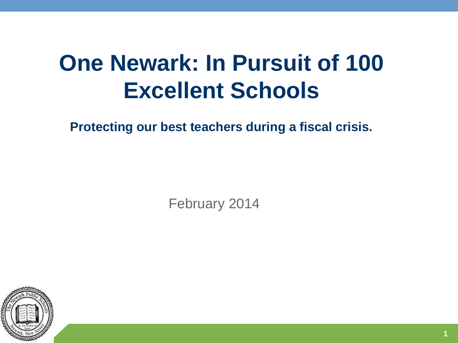# **One Newark: In Pursuit of 100 Excellent Schools**

**Protecting our best teachers during a fiscal crisis.**

February 2014

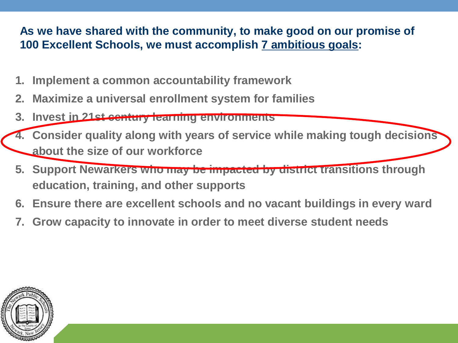#### **As we have shared with the community, to make good on our promise of 100 Excellent Schools, we must accomplish 7 ambitious goals:**

- **1. Implement a common accountability framework**
- **2. Maximize a universal enrollment system for families**
- **3. Invest in 21st century learning environments**
- **4. Consider quality along with years of service while making tough decisions about the size of our workforce**
- **5. Support Newarkers who may be impacted by district transitions through education, training, and other supports**
- **6. Ensure there are excellent schools and no vacant buildings in every ward**
- **7. Grow capacity to innovate in order to meet diverse student needs**

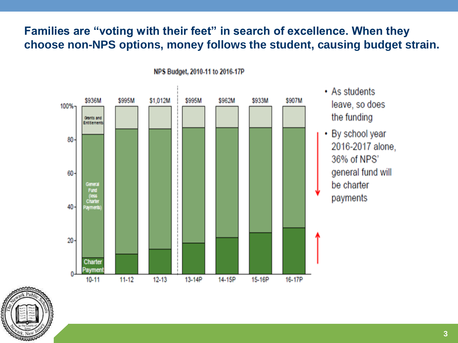#### **Families are "voting with their feet" in search of excellence. When they choose non-NPS options, money follows the student, causing budget strain.**



NPS Budget, 2010-11 to 2016-17P

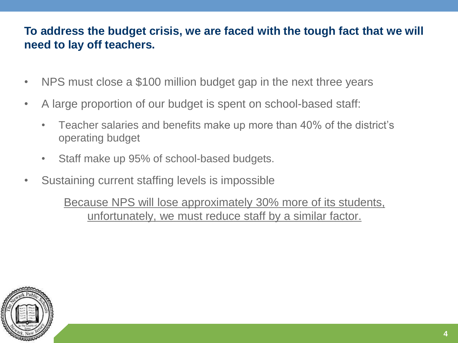#### **To address the budget crisis, we are faced with the tough fact that we will need to lay off teachers.**

- NPS must close a \$100 million budget gap in the next three years
- A large proportion of our budget is spent on school-based staff:
	- Teacher salaries and benefits make up more than 40% of the district's operating budget
	- Staff make up 95% of school-based budgets.
- Sustaining current staffing levels is impossible

Because NPS will lose approximately 30% more of its students, unfortunately, we must reduce staff by a similar factor.

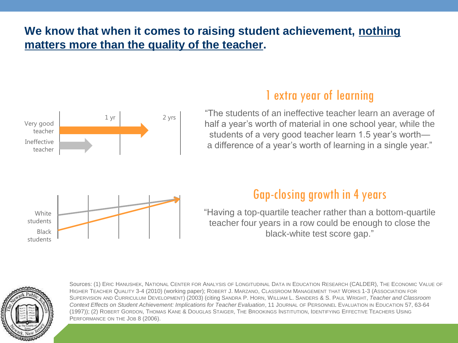#### **We know that when it comes to raising student achievement, nothing matters more than the quality of the teacher.**



### 1 extra year of learning

"The students of an ineffective teacher learn an average of half a year's worth of material in one school year, while the students of a very good teacher learn 1.5 year's worth a difference of a year's worth of learning in a single year."

## Gap-closing growth in 4 years

"Having a top-quartile teacher rather than a bottom-quartile teacher four years in a row could be enough to close the black-white test score gap."



Black students

> Sources: (1) ERIC HANUSHEK, NATIONAL CENTER FOR ANALYSIS OF LONGITUDINAL DATA IN EDUCATION RESEARCH (CALDER), THE ECONOMIC VALUE OF HIGHER TEACHER QUALITY 3-4 (2010) (working paper); ROBERT J. MARZANO, CLASSROOM MANAGEMENT THAT WORKS 1-3 (ASSOCIATION FOR SUPERVISION AND CURRICULUM DEVELOPMENT) (2003) (citing SANDRA P. HORN, WILLIAM L. SANDERS & S. PAUL WRIGHT, *Teacher and Classroom Context Effects on Student Achievement: Implications for Teacher Evaluation*, 11 JOURNAL OF PERSONNEL EVALUATION IN EDUCATION 57, 63-64 (1997)); (2) ROBERT GORDON, THOMAS KANE & DOUGLAS STAIGER, THE BROOKINGS INSTITUTION, IDENTIFYING EFFECTIVE TEACHERS USING PERFORMANCE ON THE JOB 8 (2006).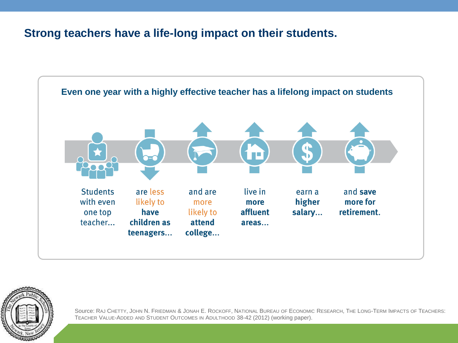#### **Strong teachers have a life-long impact on their students.**





Source: RAJ CHETTY, JOHN N. FRIEDMAN & JONAH E. ROCKOFF, NATIONAL BUREAU OF ECONOMIC RESEARCH, THE LONG-TERM IMPACTS OF TEACHERS: TEACHER VALUE-ADDED AND STUDENT OUTCOMES IN ADULTHOOD 38-42 (2012) (working paper).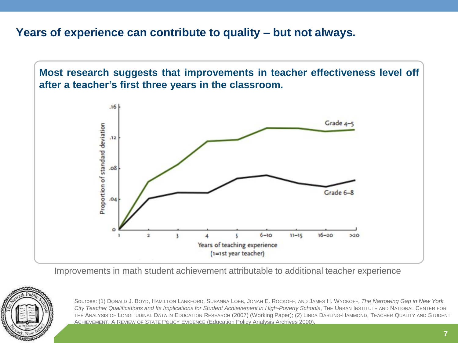#### **Years of experience can contribute to quality – but not always.**



Improvements in math student achievement attributable to additional teacher experience



Sources: (1) DONALD J. BOYD, HAMILTON LANKFORD, SUSANNA LOEB, JONAH E. ROCKOFF, AND JAMES H. WYCKOFF*, The Narrowing Gap in New York City Teacher Qualifications and Its Implications for Student Achievement in High-Poverty Schools*, THE URBAN INSTITUTE AND NATIONAL CENTER FOR THE ANALYSIS OF LONGITUDINAL DATA IN EDUCATION RESEARCH (2007) (Working Paper); (2) LINDA DARLING-HAMMOND, TEACHER QUALITY AND STUDENT ACHIEVEMENT: A REVIEW OF STATE POLICY EVIDENCE (Education Policy Analysis Archives 2000).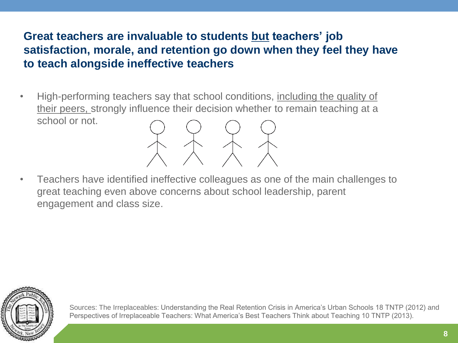#### **Great teachers are invaluable to students but teachers' job satisfaction, morale, and retention go down when they feel they have to teach alongside ineffective teachers**

- High-performing teachers say that school conditions, including the quality of their peers, strongly influence their decision whether to remain teaching at a school or not.
- $X X X X$ • Teachers have identified ineffective colleagues as one of the main challenges to great teaching even above concerns about school leadership, parent
	- engagement and class size.

![](_page_7_Picture_4.jpeg)

Sources: The Irreplaceables: Understanding the Real Retention Crisis in America's Urban Schools 18 TNTP (2012) and Perspectives of Irreplaceable Teachers: What America's Best Teachers Think about Teaching 10 TNTP (2013).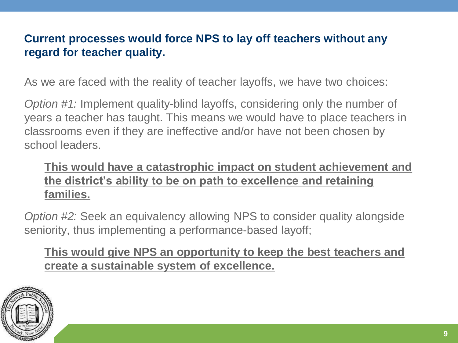#### **Current processes would force NPS to lay off teachers without any regard for teacher quality.**

As we are faced with the reality of teacher layoffs, we have two choices:

*Option #1:* Implement quality-blind layoffs, considering only the number of years a teacher has taught. This means we would have to place teachers in classrooms even if they are ineffective and/or have not been chosen by school leaders.

#### **This would have a catastrophic impact on student achievement and the district's ability to be on path to excellence and retaining families.**

*Option #2:* Seek an equivalency allowing NPS to consider quality alongside seniority, thus implementing a performance-based layoff;

**This would give NPS an opportunity to keep the best teachers and create a sustainable system of excellence.**

![](_page_8_Picture_6.jpeg)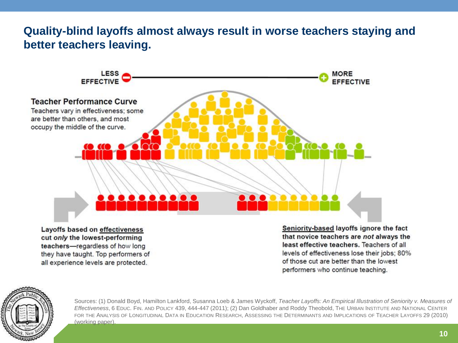#### **Quality-blind layoffs almost always result in worse teachers staying and better teachers leaving.**

![](_page_9_Figure_1.jpeg)

cut only the lowest-performing teachers-regardless of how long they have taught. Top performers of all experience levels are protected.

Seniority-based layoffs ignore the fact that novice teachers are not always the least effective teachers. Teachers of all levels of effectiveness lose their jobs; 80% of those cut are better than the lowest performers who continue teaching.

![](_page_9_Picture_4.jpeg)

Sources: (1) Donald Boyd, Hamilton Lankford, Susanna Loeb & James Wyckoff, *Teacher Layoffs: An Empirical Illustration of Seniority v. Measures of Effectiveness*, 6 EDUC. FIN. AND POLICY 439, 444-447 (2011); (2) Dan Goldhaber and Roddy Theobold, THE URBAN INSTITUTE AND NATIONAL CENTER FOR THE ANALYSIS OF LONGITUDINAL DATA IN EDUCATION RESEARCH, ASSESSING THE DETERMINANTS AND IMPLICATIONS OF TEACHER LAYOFFS 29 (2010) (working paper).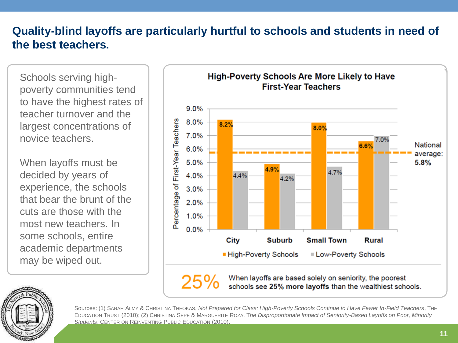#### **Quality-blind layoffs are particularly hurtful to schools and students in need of the best teachers.**

Schools serving highpoverty communities tend to have the highest rates of teacher turnover and the largest concentrations of novice teachers.

When layoffs must be decided by years of experience, the schools that bear the brunt of the cuts are those with the most new teachers. In some schools, entire academic departments may be wiped out.

![](_page_10_Figure_3.jpeg)

![](_page_10_Picture_4.jpeg)

Sources: (1) SARAH ALMY & CHRISTINA THEOKAS, *Not Prepared for Class: High-Poverty Schools Continue to Have Fewer In-Field Teachers*, THE EDUCATION TRUST (2010); (2) CHRISTINA SEPE & MARGUERITE ROZA, T*he Disproportionate Impact of Seniority-Based Layoffs on Poor, Minority Students*, CENTER ON REINVENTING PUBLIC EDUCATION (2010).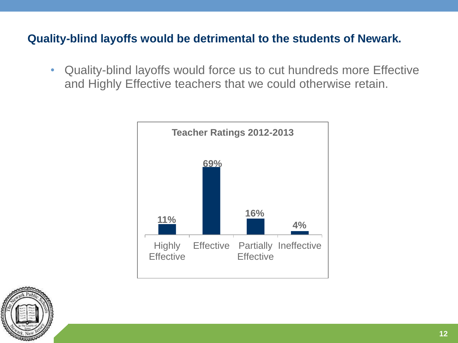#### **Quality-blind layoffs would be detrimental to the students of Newark.**

• Quality-blind layoffs would force us to cut hundreds more Effective and Highly Effective teachers that we could otherwise retain.

![](_page_11_Figure_2.jpeg)

![](_page_11_Picture_3.jpeg)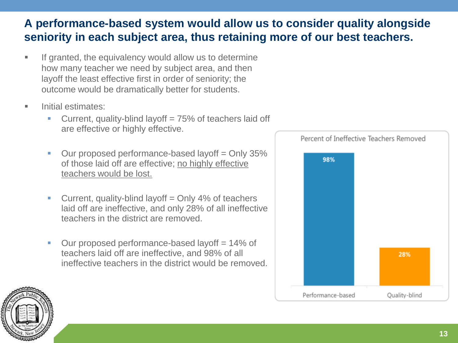#### **A performance-based system would allow us to consider quality alongside seniority in each subject area, thus retaining more of our best teachers.**

- If granted, the equivalency would allow us to determine how many teacher we need by subject area, and then layoff the least effective first in order of seniority; the outcome would be dramatically better for students.
- Initial estimates:
	- Current, quality-blind layoff = 75% of teachers laid off are effective or highly effective.
	- $\blacksquare$  Our proposed performance-based layoff  $\mathtt{=}$  Only 35% of those laid off are effective; no highly effective teachers would be lost.
	- **Current, quality-blind layoff = Only 4% of teachers** laid off are ineffective, and only 28% of all ineffective teachers in the district are removed.
	- $\blacksquare$  Our proposed performance-based layoff = 14% of teachers laid off are ineffective, and 98% of all ineffective teachers in the district would be removed.

![](_page_12_Figure_7.jpeg)

![](_page_12_Picture_8.jpeg)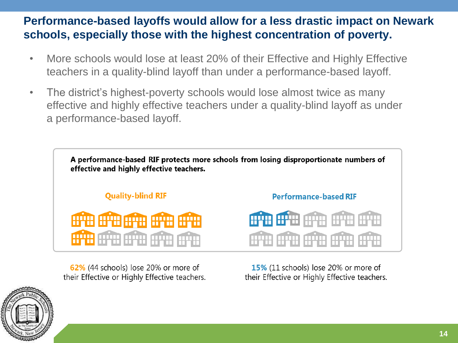#### **Performance-based layoffs would allow for a less drastic impact on Newark schools, especially those with the highest concentration of poverty.**

- More schools would lose at least 20% of their Effective and Highly Effective teachers in a quality-blind layoff than under a performance-based layoff.
- The district's highest-poverty schools would lose almost twice as many effective and highly effective teachers under a quality-blind layoff as under a performance-based layoff.

![](_page_13_Picture_3.jpeg)

62% (44 schools) lose 20% or more of their Effective or Highly Effective teachers.

15% (11 schools) lose 20% or more of their Effective or Highly Effective teachers.

![](_page_13_Picture_6.jpeg)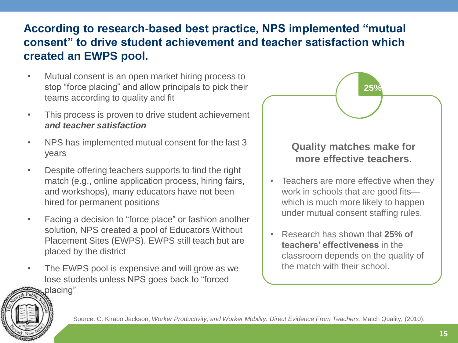#### **According to research-based best practice, NPS implemented "mutual consent" to drive student achievement and teacher satisfaction which created an EWPS pool.**

- Mutual consent is an open market hiring process to stop "force placing" and allow principals to pick their teams according to quality and fit
- This process is proven to drive student achievement *and teacher satisfaction*
- NPS has implemented mutual consent for the last 3 years
- Despite offering teachers supports to find the right match (e.g., online application process, hiring fairs, and workshops), many educators have not been hired for permanent positions
- Facing a decision to "force place" or fashion another solution, NPS created a pool of Educators Without Placement Sites (EWPS). EWPS still teach but are placed by the district
- The EWPS pool is expensive and will grow as we lose students unless NPS goes back to "forced

# **25% Quality matches make for**

**25%**

**more effective teachers.**

#### • Teachers are more effective when they work in schools that are good fits which is much more likely to happen under mutual consent staffing rules.

• Research has shown that **25% of teachers' effectiveness** in the classroom depends on the quality of the match with their school.

![](_page_14_Picture_10.jpeg)

Source: C. Kirabo Jackson, *Worker Productivity, and Worker Mobility: Direct Evidence From Teachers*, Match Quality, (2010).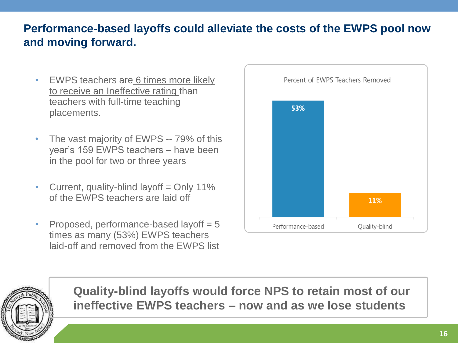#### **Performance-based layoffs could alleviate the costs of the EWPS pool now and moving forward.**

- EWPS teachers are 6 times more likely to receive an Ineffective rating than teachers with full-time teaching placements.
- The vast majority of EWPS -- 79% of this year's 159 EWPS teachers – have been in the pool for two or three years
- Current, quality-blind layoff = Only 11% of the EWPS teachers are laid off
- Proposed, performance-based layoff  $= 5$ times as many (53%) EWPS teachers laid-off and removed from the EWPS list

![](_page_15_Figure_5.jpeg)

![](_page_15_Picture_6.jpeg)

**Quality-blind layoffs would force NPS to retain most of our ineffective EWPS teachers – now and as we lose students**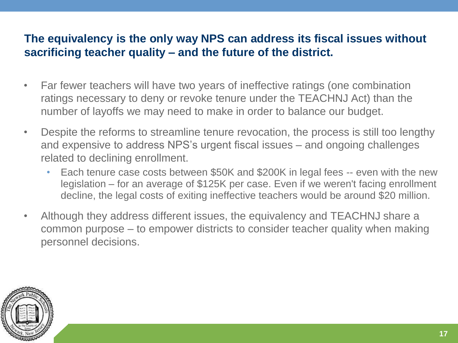#### **The equivalency is the only way NPS can address its fiscal issues without sacrificing teacher quality – and the future of the district.**

- Far fewer teachers will have two years of ineffective ratings (one combination ratings necessary to deny or revoke tenure under the TEACHNJ Act) than the number of layoffs we may need to make in order to balance our budget.
- Despite the reforms to streamline tenure revocation, the process is still too lengthy and expensive to address NPS's urgent fiscal issues – and ongoing challenges related to declining enrollment.
	- Each tenure case costs between \$50K and \$200K in legal fees -- even with the new legislation – for an average of \$125K per case. Even if we weren't facing enrollment decline, the legal costs of exiting ineffective teachers would be around \$20 million.
- Although they address different issues, the equivalency and TEACHNJ share a common purpose – to empower districts to consider teacher quality when making personnel decisions.

![](_page_16_Picture_5.jpeg)